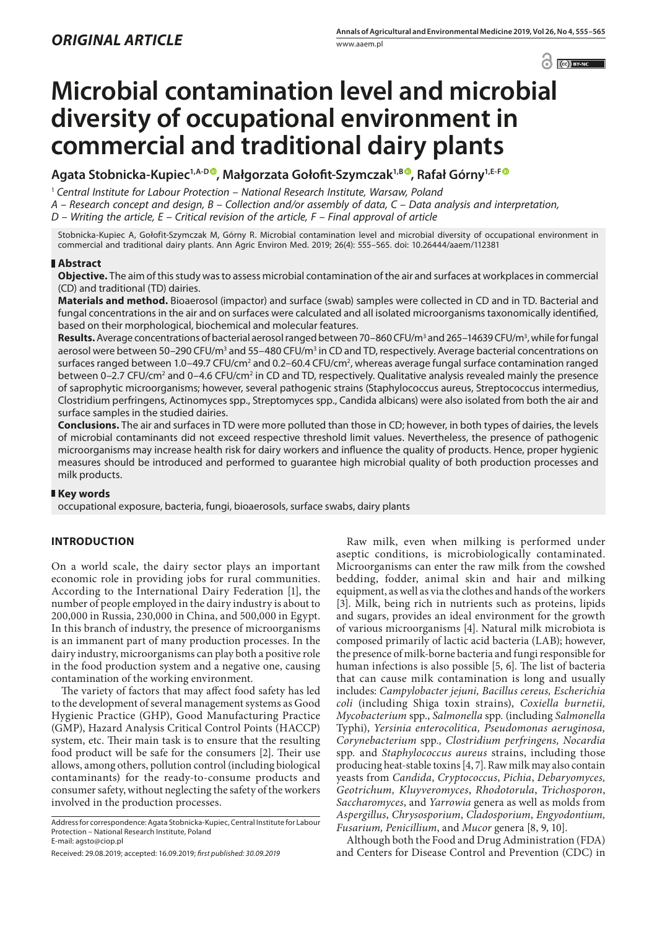$\left| \bigcirc \right|$   $\left| \bigcirc \right|$  BY-NC

# **Microbial contamination level and microbial diversity of occupational environment in commercial and traditional dairy plants**

**Agata Stobnicka-Kupiec1,A-D [,](https://orcid.org/0000-0003-1212-0651) Małgorzata Gołofit-Szymczak1,B [,](https://orcid.org/0000-0003-1463-404X) Rafał Górny1,E-F**

<sup>1</sup> *Central Institute for Labour Protection – National Research Institute, Warsaw, Poland*

*A – Research concept and design, B – Collection and/or assembly of data, C – Data analysis and interpretation,* 

*D – Writing the article, E – Critical revision of the article, F – Final approval of article*

Stobnicka-Kupiec A, Gołofit-Szymczak M, Górny R. Microbial contamination level and microbial diversity of occupational environment in commercial and traditional dairy plants. Ann Agric Environ Med. 2019; 26(4): 555–565. doi: 10.26444/aaem/112381

## **Abstract**

**Objective.** The aim of this study was to assess microbial contamination of the air and surfaces at workplaces in commercial (CD) and traditional (TD) dairies.

**Materials and method.** Bioaerosol (impactor) and surface (swab) samples were collected in CD and in TD. Bacterial and fungal concentrations in the air and on surfaces were calculated and all isolated microorganisms taxonomically identified, based on their morphological, biochemical and molecular features.

**Results.** Average concentrations of bacterial aerosol ranged between 70–860 CFU/m<sup>3</sup> and 265–14639 CFU/m<sup>3</sup>, while for fungal aerosol were between 50–290 CFU/m<sup>3</sup> and 55–480 CFU/m<sup>3</sup> in CD and TD, respectively. Average bacterial concentrations on surfaces ranged between 1.0–49.7 CFU/cm<sup>2</sup> and 0.2–60.4 CFU/cm<sup>2</sup>, whereas average fungal surface contamination ranged between 0–2.7 CFU/cm<sup>2</sup> and 0–4.6 CFU/cm<sup>2</sup> in CD and TD, respectively. Qualitative analysis revealed mainly the presence of saprophytic microorganisms; however, several pathogenic strains (Staphylococcus aureus, Streptococcus intermedius, Clostridium perfringens, Actinomyces spp., Streptomyces spp., Candida albicans) were also isolated from both the air and surface samples in the studied dairies.

**Conclusions.** The air and surfaces in TD were more polluted than those in CD; however, in both types of dairies, the levels of microbial contaminants did not exceed respective threshold limit values. Nevertheless, the presence of pathogenic microorganisms may increase health risk for dairy workers and influence the quality of products. Hence, proper hygienic measures should be introduced and performed to guarantee high microbial quality of both production processes and milk products.

## **Key words**

occupational exposure, bacteria, fungi, bioaerosols, surface swabs, dairy plants

## **INTRODUCTION**

On a world scale, the dairy sector plays an important economic role in providing jobs for rural communities. According to the International Dairy Federation [1], the number of people employed in the dairy industry is about to 200,000 in Russia, 230,000 in China, and 500,000 in Egypt. In this branch of industry, the presence of microorganisms is an immanent part of many production processes. In the dairy industry, microorganisms can play both a positive role in the food production system and a negative one, causing contamination of the working environment.

The variety of factors that may affect food safety has led to the development of several management systems as Good Hygienic Practice (GHP), Good Manufacturing Practice (GMP), Hazard Analysis Critical Control Points (HACCP) system, etc. Their main task is to ensure that the resulting food product will be safe for the consumers [2]. Their use allows, among others, pollution control (including biological contaminants) for the ready-to-consume products and consumer safety, without neglecting the safety of the workers involved in the production processes.

Address for correspondence: Agata Stobnicka-Kupiec, Central Institute for Labour Protection – National Research Institute, Poland

E-mail: agsto@ciop.pl

Raw milk, even when milking is performed under aseptic conditions, is microbiologically contaminated. Microorganisms can enter the raw milk from the cowshed bedding, fodder, animal skin and hair and milking equipment, as well as via the clothes and hands of the workers [3]. Milk, being rich in nutrients such as proteins, lipids and sugars, provides an ideal environment for the growth of various microorganisms [4]. Natural milk microbiota is composed primarily of lactic acid bacteria (LAB); however, the presence of milk-borne bacteria and fungi responsible for human infections is also possible [5, 6]. The list of bacteria that can cause milk contamination is long and usually includes: *Campylobacter jejuni, Bacillus cereus, Escherichia coli* (including Shiga toxin strains), *Coxiella burnetii, Mycobacterium* spp., *Salmonella* spp. (including *Salmonella*  Typhi), *Yersinia enterocolitica, Pseudomonas aeruginosa, Corynebacterium* spp*., Clostridium perfringens, Nocardia*  spp*.* and *Staphylococcus aureus* strains, including those producing heat-stable toxins [4, 7]. Raw milk may also contain yeasts from *Candida*, *Cryptococcus*, *Pichia*, *Debaryomyces, Geotrichum, Kluyveromyces*, *Rhodotorula*, *Trichosporon*, *Saccharomyces*, and *Yarrowia* genera as well as molds from *Aspergillus*, *Chrysosporium*, *Cladosporium*, *Engyodontium, Fusarium, Penicillium*, and *Mucor* genera [8, 9, 10].

Although both the Food and Drug Administration (FDA) and Centers for Disease Control and Prevention (CDC) in

Received: 29.08.2019; accepted: 16.09.2019; *first published: 30.09.2019*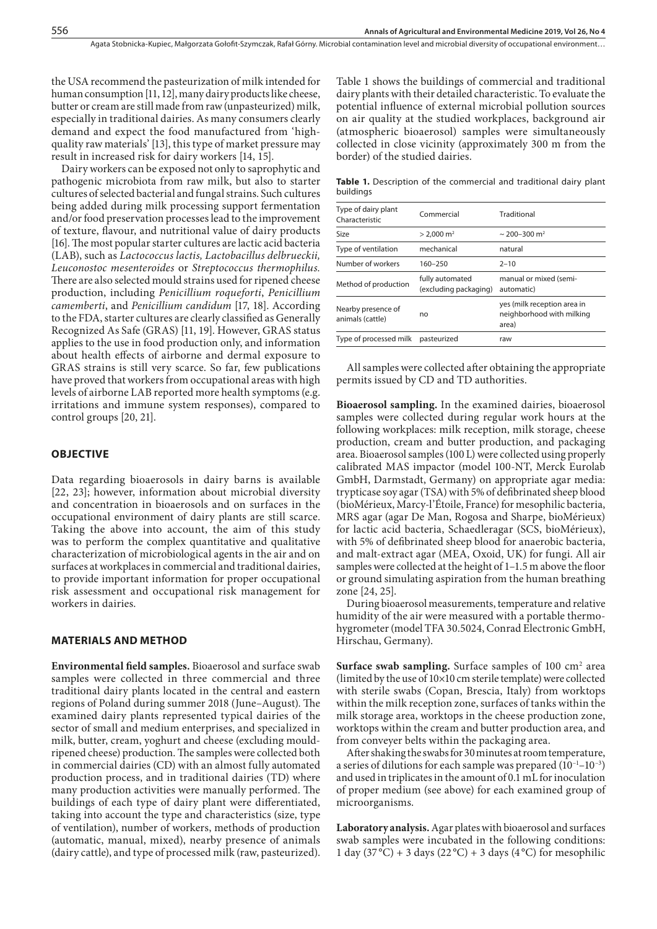the USA recommend the pasteurization of milk intended for human consumption [11, 12], many dairy products like cheese, butter or cream are still made from raw (unpasteurized) milk, especially in traditional dairies. As many consumers clearly demand and expect the food manufactured from 'highquality raw materials' [13], this type of market pressure may result in increased risk for dairy workers [14, 15].

Dairy workers can be exposed not only to saprophytic and pathogenic microbiota from raw milk, but also to starter cultures of selected bacterial and fungal strains. Such cultures being added during milk processing support fermentation and/or food preservation processes lead to the improvement of texture, flavour, and nutritional value of dairy products [16]. The most popular starter cultures are lactic acid bacteria (LAB), such as *Lactococcus lactis, Lactobacillus delbrueckii, Leuconostoc mesenteroides* or *Streptococcus thermophilus.* There are also selected mould strains used for ripened cheese production, including *Penicillium roqueforti*, *Penicillium camemberti*, and *Penicillium candidum* [17, 18]. According to the FDA, starter cultures are clearly classified as Generally Recognized As Safe (GRAS) [11, 19]. However, GRAS status applies to the use in food production only, and information about health effects of airborne and dermal exposure to GRAS strains is still very scarce. So far, few publications have proved that workers from occupational areas with high levels of airborne LAB reported more health symptoms (e.g. irritations and immune system responses), compared to control groups [20, 21].

#### **OBJECTIVE**

Data regarding bioaerosols in dairy barns is available [22, 23]; however, information about microbial diversity and concentration in bioaerosols and on surfaces in the occupational environment of dairy plants are still scarce. Taking the above into account, the aim of this study was to perform the complex quantitative and qualitative characterization of microbiological agents in the air and on surfaces at workplaces in commercial and traditional dairies, to provide important information for proper occupational risk assessment and occupational risk management for workers in dairies.

## **MATERIALS AND METHOD**

**Environmental field samples.** Bioaerosol and surface swab samples were collected in three commercial and three traditional dairy plants located in the central and eastern regions of Poland during summer 2018 (June–August). The examined dairy plants represented typical dairies of the sector of small and medium enterprises, and specialized in milk, butter, cream, yoghurt and cheese (excluding mouldripened cheese) production. The samples were collected both in commercial dairies (CD) with an almost fully automated production process, and in traditional dairies (TD) where many production activities were manually performed. The buildings of each type of dairy plant were differentiated, taking into account the type and characteristics (size, type of ventilation), number of workers, methods of production (automatic, manual, mixed), nearby presence of animals (dairy cattle), and type of processed milk (raw, pasteurized).

Table 1 shows the buildings of commercial and traditional dairy plants with their detailed characteristic. To evaluate the potential influence of external microbial pollution sources on air quality at the studied workplaces, background air (atmospheric bioaerosol) samples were simultaneously collected in close vicinity (approximately 300 m from the border) of the studied dairies.

**Table 1.** Description of the commercial and traditional dairy plant buildings

| Type of dairy plant<br>Characteristic  | Commercial                               | Traditional                                                       |  |  |
|----------------------------------------|------------------------------------------|-------------------------------------------------------------------|--|--|
| Size                                   | $> 2.000$ m <sup>2</sup>                 | $\sim$ 200-300 m <sup>2</sup>                                     |  |  |
| Type of ventilation                    | mechanical                               | natural                                                           |  |  |
| Number of workers                      | 160-250                                  | $2 - 10$                                                          |  |  |
| Method of production                   | fully automated<br>(excluding packaging) | manual or mixed (semi-<br>automatic)                              |  |  |
| Nearby presence of<br>animals (cattle) | no                                       | yes (milk reception area in<br>neighborhood with milking<br>area) |  |  |
| Type of processed milk                 | pasteurized                              | raw                                                               |  |  |
|                                        |                                          |                                                                   |  |  |

All samples were collected after obtaining the appropriate permits issued by CD and TD authorities.

**Bioaerosol sampling.** In the examined dairies, bioaerosol samples were collected during regular work hours at the following workplaces: milk reception, milk storage, cheese production, cream and butter production, and packaging area. Bioaerosol samples (100 L) were collected using properly calibrated MAS impactor (model 100-NT, Merck Eurolab GmbH, Darmstadt, Germany) on appropriate agar media: trypticase soy agar (TSA) with 5% of defibrinated sheep blood (bioMérieux, Marcy-l'Étoile, France) for mesophilic bacteria, MRS agar (agar De Man, Rogosa and Sharpe, bioMérieux) for lactic acid bacteria, Schaedleragar (SCS, bioMérieux), with 5% of defibrinated sheep blood for anaerobic bacteria, and malt-extract agar (MEA, Oxoid, UK) for fungi. All air samples were collected at the height of 1–1.5 m above the floor or ground simulating aspiration from the human breathing zone [24, 25].

During bioaerosol measurements, temperature and relative humidity of the air were measured with a portable thermohygrometer (model TFA 30.5024, Conrad Electronic GmbH, Hirschau, Germany).

**Surface swab sampling.** Surface samples of 100 cm<sup>2</sup> area (limited by the use of 10×10 cm sterile template) were collected with sterile swabs (Copan, Brescia, Italy) from worktops within the milk reception zone, surfaces of tanks within the milk storage area, worktops in the cheese production zone, worktops within the cream and butter production area, and from conveyer belts within the packaging area.

After shaking the swabs for 30 minutes at room temperature, a series of dilutions for each sample was prepared  $(10^{-1}-10^{-3})$ and used in triplicates in the amount of 0.1 mL for inoculation of proper medium (see above) for each examined group of microorganisms.

**Laboratory analysis.** Agar plates with bioaerosol and surfaces swab samples were incubated in the following conditions: 1 day  $(37^{\circ}\text{C}) + 3$  days  $(22^{\circ}\text{C}) + 3$  days  $(4^{\circ}\text{C})$  for mesophilic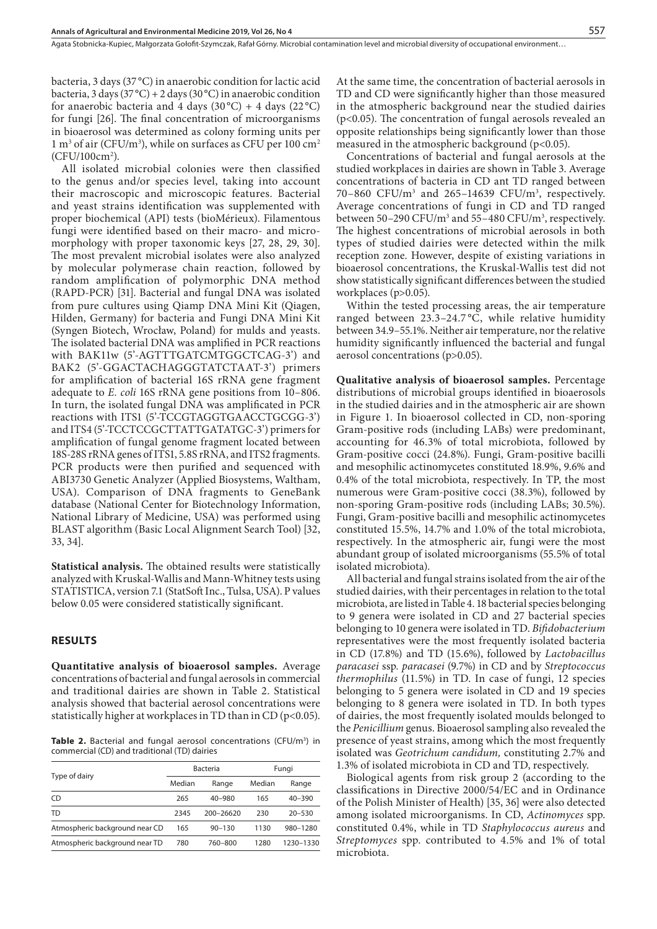bacteria, 3 days (37 °C) in anaerobic condition for lactic acid bacteria, 3 days (37 °C) + 2 days (30 °C) in anaerobic condition for anaerobic bacteria and 4 days  $(30^{\circ}C) + 4$  days  $(22^{\circ}C)$ for fungi [26]. The final concentration of microorganisms in bioaerosol was determined as colony forming units per  $1 \text{ m}^3$  of air (CFU/m<sup>3</sup>), while on surfaces as CFU per  $100 \text{ cm}^2$ (CFU/100cm2 ).

All isolated microbial colonies were then classified to the genus and/or species level, taking into account their macroscopic and microscopic features. Bacterial and yeast strains identification was supplemented with proper biochemical (API) tests (bioMérieux). Filamentous fungi were identified based on their macro- and micromorphology with proper taxonomic keys [27, 28, 29, 30]. The most prevalent microbial isolates were also analyzed by molecular polymerase chain reaction, followed by random amplification of polymorphic DNA method (RAPD-PCR) [31]. Bacterial and fungal DNA was isolated from pure cultures using Qiamp DNA Mini Kit (Qiagen, Hilden, Germany) for bacteria and Fungi DNA Mini Kit (Syngen Biotech, Wrocław, Poland) for mulds and yeasts. The isolated bacterial DNA was amplified in PCR reactions with BAK11w (5'-AGTTTGATCMTGGCTCAG-3') and BAK2 (5'-GGACTACHAGGGTATCTAAT-3') primers for amplification of bacterial 16S rRNA gene fragment adequate to *E. coli* 16S rRNA gene positions from 10–806. In turn, the isolated fungal DNA was amplificated in PCR reactions with ITS1 (5'-TCCGTAGGTGAACCTGCGG-3') and ITS4 (5'-TCCTCCGCTTATTGATATGC-3') primers for amplification of fungal genome fragment located between 18S-28S rRNA genes of ITS1, 5.8S rRNA, and ITS2 fragments. PCR products were then purified and sequenced with ABI3730 Genetic Analyzer (Applied Biosystems, Waltham, USA). Comparison of DNA fragments to GeneBank database (National Center for Biotechnology Information, National Library of Medicine, USA) was performed using BLAST algorithm (Basic Local Alignment Search Tool) [32, 33, 34].

**Statistical analysis.** The obtained results were statistically analyzed with Kruskal-Wallis and Mann-Whitney tests using STATISTICA, version 7.1 (StatSoft Inc., Tulsa, USA). P values below 0.05 were considered statistically significant.

## **RESULTS**

**Quantitative analysis of bioaerosol samples.** Average concentrations of bacterial and fungal aerosols in commercial and traditional dairies are shown in Table 2. Statistical analysis showed that bacterial aerosol concentrations were statistically higher at workplaces in TD than in CD (p<0.05).

Table 2. Bacterial and fungal aerosol concentrations (CFU/m<sup>3</sup>) in commercial (CD) and traditional (TD) dairies

|                                |        | Bacteria   | Fungi  |            |  |
|--------------------------------|--------|------------|--------|------------|--|
| Type of dairy                  | Median | Range      | Median | Range      |  |
| CD                             | 265    | $40 - 980$ | 165    | $40 - 390$ |  |
| TD                             | 2345   | 200-26620  | 230    | $20 - 530$ |  |
| Atmospheric background near CD | 165    | $90 - 130$ | 1130   | 980-1280   |  |
| Atmospheric background near TD | 780    | 760-800    | 1280   | 1230-1330  |  |

At the same time, the concentration of bacterial aerosols in TD and CD were significantly higher than those measured in the atmospheric background near the studied dairies (p<0.05). The concentration of fungal aerosols revealed an opposite relationships being significantly lower than those measured in the atmospheric background ( $p$ <0.05).

Concentrations of bacterial and fungal aerosols at the studied workplaces in dairies are shown in Table 3. Average concentrations of bacteria in CD ant TD ranged between  $70-860$  CFU/m<sup>3</sup> and  $265-14639$  CFU/m<sup>3</sup>, respectively. Average concentrations of fungi in CD and TD ranged between 50–290 CFU/m<sup>3</sup> and 55–480 CFU/m<sup>3</sup>, respectively. The highest concentrations of microbial aerosols in both types of studied dairies were detected within the milk reception zone. However, despite of existing variations in bioaerosol concentrations, the Kruskal-Wallis test did not show statistically significant differences between the studied workplaces (p>0.05).

Within the tested processing areas, the air temperature ranged between 23.3–24.7 °C, while relative humidity between 34.9–55.1%. Neither air temperature, nor the relative humidity significantly influenced the bacterial and fungal aerosol concentrations (p>0.05).

**Qualitative analysis of bioaerosol samples.** Percentage distributions of microbial groups identified in bioaerosols in the studied dairies and in the atmospheric air are shown in Figure 1. In bioaerosol collected in CD, non-sporing Gram-positive rods (including LABs) were predominant, accounting for 46.3% of total microbiota, followed by Gram-positive cocci (24.8%). Fungi, Gram-positive bacilli and mesophilic actinomycetes constituted 18.9%, 9.6% and 0.4% of the total microbiota, respectively. In TP, the most numerous were Gram-positive cocci (38.3%), followed by non-sporing Gram-positive rods (including LABs; 30.5%). Fungi, Gram-positive bacilli and mesophilic actinomycetes constituted 15.5%, 14.7% and 1.0% of the total microbiota, respectively. In the atmospheric air, fungi were the most abundant group of isolated microorganisms (55.5% of total isolated microbiota).

All bacterial and fungal strains isolated from the air of the studied dairies, with their percentages in relation to the total microbiota, are listed in Table 4. 18 bacterial species belonging to 9 genera were isolated in CD and 27 bacterial species belonging to 10 genera were isolated in TD. *Bifidobacterium*  representatives were the most frequently isolated bacteria in CD (17.8%) and TD (15.6%), followed by *Lactobacillus paracasei* ssp*. paracasei* (9.7%) in CD and by *Streptococcus thermophilus* (11.5%) in TD. In case of fungi, 12 species belonging to 5 genera were isolated in CD and 19 species belonging to 8 genera were isolated in TD. In both types of dairies, the most frequently isolated moulds belonged to the *Penicillium* genus. Bioaerosol sampling also revealed the presence of yeast strains, among which the most frequently isolated was *Geotrichum candidum,* constituting 2.7% and 1.3% of isolated microbiota in CD and TD, respectively.

Biological agents from risk group 2 (according to the classifications in Directive 2000/54/EC and in Ordinance of the Polish Minister of Health) [35, 36] were also detected among isolated microorganisms. In CD, *Actinomyces* spp. constituted 0.4%, while in TD *Staphylococcus aureus* and *Streptomyces* spp. contributed to 4.5% and 1% of total microbiota.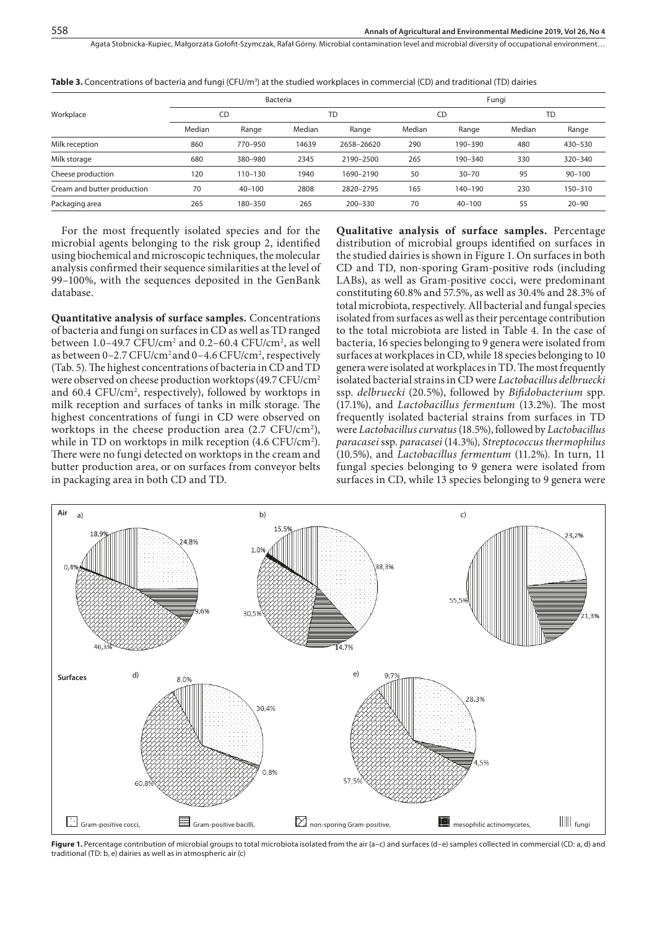|                             |        |            | Bacteria |            | Fungi  |             |        |            |  |
|-----------------------------|--------|------------|----------|------------|--------|-------------|--------|------------|--|
| Workplace                   | CD     |            |          | <b>TD</b>  |        | CD          |        | <b>TD</b>  |  |
|                             | Median | Range      | Median   | Range      | Median | Range       | Median | Range      |  |
| Milk reception              | 860    | 770-950    | 14639    | 2658-26620 | 290    | 190-390     | 480    | 430-530    |  |
| Milk storage                | 680    | 380-980    | 2345     | 2190-2500  | 265    | $190 - 340$ | 330    | 320-340    |  |
| Cheese production           | 120    | 110-130    | 1940     | 1690-2190  | 50     | $30 - 70$   | 95     | $90 - 100$ |  |
| Cream and butter production | 70     | $40 - 100$ | 2808     | 2820-2795  | 165    | $140 - 190$ | 230    | 150-310    |  |
| Packaging area              | 265    | 180-350    | 265      | 200-330    | 70     | $40 - 100$  | 55     | $20 - 90$  |  |

**Table 3.** Concentrations of bacteria and fungi (CFU/m<sup>3</sup>) at the studied workplaces in commercial (CD) and traditional (TD) dairies

For the most frequently isolated species and for the microbial agents belonging to the risk group 2, identified using biochemical and microscopic techniques, the molecular analysis confirmed their sequence similarities at the level of 99–100%, with the sequences deposited in the GenBank database.

**Quantitative analysis of surface samples.** Concentrations of bacteria and fungi on surfaces in CD as well as TD ranged between  $1.0-49.7$  CFU/cm<sup>2</sup> and  $0.2-60.4$  CFU/cm<sup>2</sup>, as well as between 0–2.7 CFU/cm<sup>2</sup> and 0–4.6 CFU/cm<sup>2</sup>, respectively (Tab. 5). The highest concentrations of bacteria in CD and TD were observed on cheese production worktops (49.7 CFU/cm<sup>2</sup> and 60.4 CFU/cm<sup>2</sup>, respectively), followed by worktops in milk reception and surfaces of tanks in milk storage. The highest concentrations of fungi in CD were observed on worktops in the cheese production area (2.7 CFU/cm<sup>2</sup>), while in TD on worktops in milk reception (4.6 CFU/cm2 ). There were no fungi detected on worktops in the cream and butter production area, or on surfaces from conveyor belts in packaging area in both CD and TD.

**Qualitative analysis of surface samples.** Percentage distribution of microbial groups identified on surfaces in the studied dairies is shown in Figure 1. On surfaces in both CD and TD, non-sporing Gram-positive rods (including LABs), as well as Gram-positive cocci, were predominant constituting 60.8% and 57.5%, as well as 30.4% and 28.3% of total microbiota, respectively. All bacterial and fungal species isolated from surfaces as well as their percentage contribution to the total microbiota are listed in Table 4. In the case of bacteria, 16 species belonging to 9 genera were isolated from surfaces at workplaces in CD, while 18 species belonging to 10 genera were isolated at workplaces in TD. The most frequently isolated bacterial strains in CD were *Lactobacillus delbruecki*  ssp. *delbruecki* (20.5%), followed by *Bifidobacterium* spp. (17.1%), and *Lactobacillus fermentum* (13.2%). The most frequently isolated bacterial strains from surfaces in TD were *Lactobacillus curvatus* (18.5%), followed by *Lactobacillus paracasei* ssp. *paracasei* (14.3%)*, Streptococcus thermophilus*  (10.5%), and *Lactobacillus fermentum* (11.2%). In turn, 11 fungal species belonging to 9 genera were isolated from surfaces in CD, while 13 species belonging to 9 genera were



Figure 1. Percentage contribution of microbial groups to total microbiota isolated from the air (a-c) and surfaces (d-e) samples collected in commercial (CD: a, d) and traditional (TD: b, e) dairies as well as in atmospheric air (c)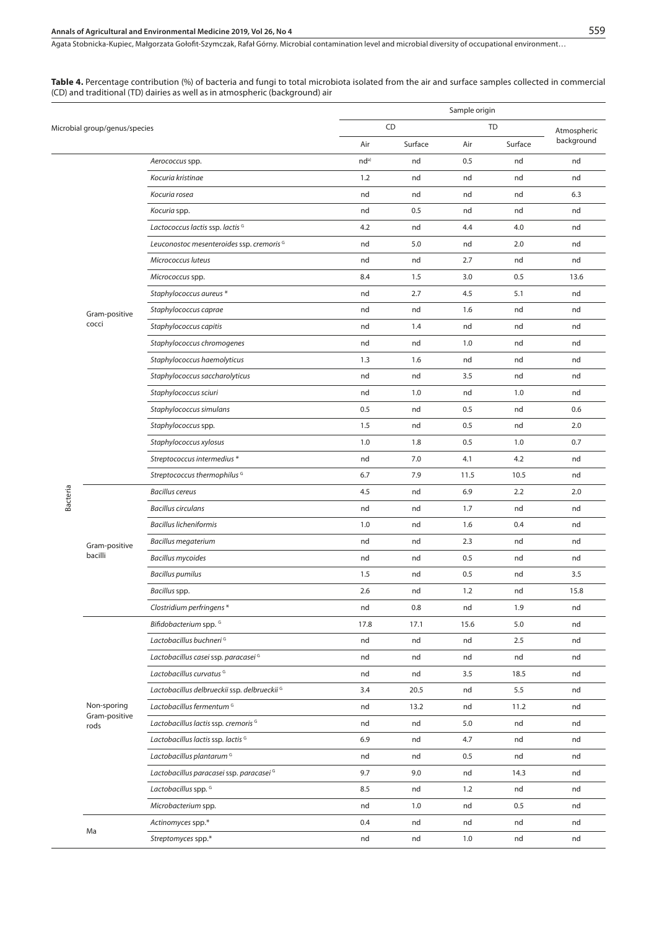## **Annals of Agricultural and Environmental Medicine 2019, Vol 26, No 4** 559

Agata Stobnicka-Kupiec, Małgorzata Gołofit-Szymczak, Rafał Górny . Microbial contamination level and microbial diversity of occupational environment…

#### **Table 4.** Percentage contribution (%) of bacteria and fungi to total microbiota isolated from the air and surface samples collected in commercial (CD) and traditional (TD) dairies as well as in atmospheric (background) air

|          |                               |                                              | Sample origin |         |      |           |             |
|----------|-------------------------------|----------------------------------------------|---------------|---------|------|-----------|-------------|
|          | Microbial group/genus/species |                                              |               | CD      |      | <b>TD</b> | Atmospheric |
|          |                               |                                              | Air           | Surface | Air  | Surface   | background  |
|          | Aerococcus spp.               | nd <sup>a)</sup>                             | nd            | 0.5     | nd   | nd        |             |
|          |                               | Kocuria kristinae                            | 1.2           | nd      | nd   | nd        | nd          |
|          |                               | Kocuria rosea                                | nd            | nd      | nd   | nd        | 6.3         |
|          |                               | Kocuria spp.                                 | nd            | 0.5     | nd   | nd        | nd          |
|          |                               | Lactococcus lactis ssp. lactis G             | 4.2           | nd      | 4.4  | 4.0       | nd          |
|          |                               | Leuconostoc mesenteroides ssp. cremoris G    | nd            | 5.0     | nd   | 2.0       | nd          |
|          |                               | Micrococcus luteus                           | nd            | nd      | 2.7  | nd        | nd          |
|          |                               | Micrococcus spp.                             | 8.4           | 1.5     | 3.0  | 0.5       | 13.6        |
|          |                               | Staphylococcus aureus *                      | nd            | 2.7     | 4.5  | 5.1       | nd          |
|          | Gram-positive                 | Staphylococcus caprae                        | nd            | nd      | 1.6  | nd        | nd          |
|          | cocci                         | Staphylococcus capitis                       | nd            | 1.4     | nd   | nd        | nd          |
|          |                               | Staphylococcus chromogenes                   | nd            | nd      | 1.0  | nd        | nd          |
|          |                               | Staphylococcus haemolyticus                  | 1.3           | 1.6     | nd   | nd        | nd          |
|          |                               | Staphylococcus saccharolyticus               | nd            | nd      | 3.5  | nd        | nd          |
|          |                               | Staphylococcus sciuri                        | nd            | 1.0     | nd   | 1.0       | nd          |
|          |                               | Staphylococcus simulans                      | 0.5           | nd      | 0.5  | nd        | 0.6         |
|          |                               | Staphylococcus spp.                          | 1.5           | nd      | 0.5  | nd        | 2.0         |
|          |                               | Staphylococcus xylosus                       | 1.0           | 1.8     | 0.5  | 1.0       | 0.7         |
|          |                               | Streptococcus intermedius *                  | nd            | 7.0     | 4.1  | 4.2       | nd          |
|          |                               | Streptococcus thermophilus G                 | 6.7           | 7.9     | 11.5 | 10.5      | nd          |
| Bacteria |                               | <b>Bacillus cereus</b>                       | 4.5           | nd      | 6.9  | 2.2       | 2.0         |
|          |                               | <b>Bacillus circulans</b>                    | nd            | nd      | 1.7  | nd        | nd          |
|          |                               | <b>Bacillus licheniformis</b>                | 1.0           | nd      | 1.6  | 0.4       | nd          |
|          | Gram-positive                 | <b>Bacillus megaterium</b>                   | nd            | nd      | 2.3  | nd        | nd          |
|          | bacilli                       | <b>Bacillus mycoides</b>                     | nd            | nd      | 0.5  | nd        | nd          |
|          |                               | <b>Bacillus pumilus</b>                      | 1.5           | nd      | 0.5  | nd        | 3.5         |
|          |                               | Bacillus spp.                                | 2.6           | nd      | 1.2  | nd        | 15.8        |
|          |                               | Clostridium perfringens*                     | nd            | 0.8     | nd   | 1.9       | nd          |
|          |                               | Bifidobacterium spp. <sup>G</sup>            | 17.8          | 17.1    | 15.6 | 5.0       | nd          |
|          |                               | Lactobacillus buchneri <sup>G</sup>          | nd            | nd      | nd   | 2.5       | nd          |
|          |                               | Lactobacillus casei ssp. paracasei G         | nd            | nd      | nd   | nd        | nd          |
|          |                               | Lactobacillus curvatus <sup>G</sup>          | nd            | nd      | 3.5  | 18.5      | nd          |
|          |                               | Lactobacillus delbrueckii ssp. delbrueckii G | 3.4           | 20.5    | nd   | 5.5       | nd          |
|          | Non-sporing                   | Lactobacillus fermentum <sup>G</sup>         | nd            | 13.2    | nd   | 11.2      | nd          |
|          | Gram-positive<br>rods         | Lactobacillus lactis ssp. cremoris G         | nd            | nd      | 5.0  | nd        | nd          |
|          |                               | Lactobacillus lactis ssp. lactis G           | 6.9           | nd      | 4.7  | nd        | nd          |
|          |                               | Lactobacillus plantarum <sup>G</sup>         | nd            | nd      | 0.5  | nd        | nd          |
|          |                               | Lactobacillus paracasei ssp. paracasei G     | 9.7           | 9.0     | nd   | 14.3      | nd          |
|          |                               | Lactobacillus spp. <sup>G</sup>              | 8.5           | nd      | 1.2  | nd        | nd          |
|          |                               | Microbacterium spp.                          | nd            | 1.0     | nd   | 0.5       | nd          |
|          |                               | Actinomyces spp.*                            | 0.4           | nd      | nd   | nd        | nd          |
|          | Ma                            | Streptomyces spp.*                           | nd            | nd      | 1.0  | nd        | nd          |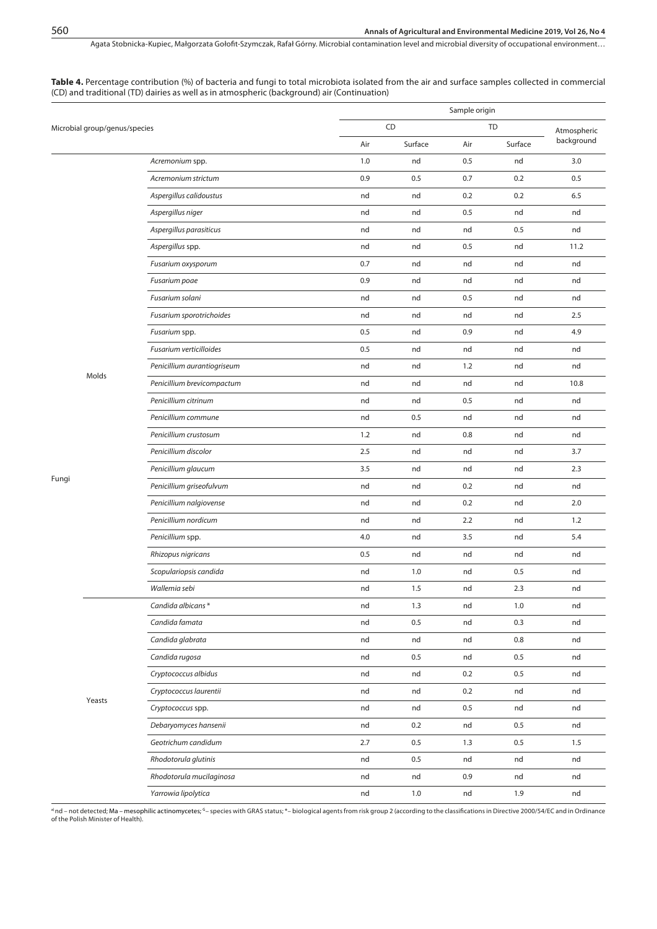**Table 4.** Percentage contribution (%) of bacteria and fungi to total microbiota isolated from the air and surface samples collected in commercial (CD) and traditional (TD) dairies as well as in atmospheric (background) air (Continuation)

|       |                               |                             | Sample origin |         |     |           |             |
|-------|-------------------------------|-----------------------------|---------------|---------|-----|-----------|-------------|
|       | Microbial group/genus/species |                             |               | CD      |     | <b>TD</b> | Atmospheric |
|       |                               |                             | Air           | Surface | Air | Surface   | background  |
|       |                               | Acremonium spp.             | 1.0           | nd      | 0.5 | nd        | 3.0         |
|       |                               | Acremonium strictum         | 0.9           | 0.5     | 0.7 | 0.2       | 0.5         |
|       |                               | Aspergillus calidoustus     | nd            | nd      | 0.2 | 0.2       | 6.5         |
|       |                               | Aspergillus niger           | nd            | nd      | 0.5 | nd        | nd          |
|       |                               | Aspergillus parasiticus     | nd            | nd      | nd  | 0.5       | nd          |
|       |                               | Aspergillus spp.            | nd            | nd      | 0.5 | nd        | 11.2        |
|       |                               | Fusarium oxysporum          | 0.7           | nd      | nd  | nd        | nd          |
|       |                               | Fusarium poae               | 0.9           | nd      | nd  | nd        | nd          |
|       |                               | Fusarium solani             | nd            | nd      | 0.5 | nd        | nd          |
|       |                               | Fusarium sporotrichoides    | nd            | nd      | nd  | nd        | 2.5         |
|       |                               | Fusarium spp.               | 0.5           | nd      | 0.9 | nd        | 4.9         |
|       |                               | Fusarium verticilloides     | 0.5           | nd      | nd  | nd        | nd          |
|       |                               | Penicillium aurantiogriseum | nd            | nd      | 1.2 | nd        | nd          |
|       | Molds                         | Penicillium brevicompactum  | nd            | nd      | nd  | nd        | 10.8        |
|       |                               | Penicillium citrinum        | nd            | nd      | 0.5 | nd        | nd          |
|       |                               | Penicillium commune         | nd            | 0.5     | nd  | nd        | nd          |
|       |                               | Penicillium crustosum       | 1.2           | nd      | 0.8 | nd        | nd          |
|       |                               | Penicillium discolor        | 2.5           | nd      | nd  | nd        | 3.7         |
|       |                               | Penicillium glaucum         | 3.5           | nd      | nd  | nd        | 2.3         |
| Fungi |                               | Penicillium griseofulvum    | nd            | nd      | 0.2 | nd        | nd          |
|       |                               | Penicillium nalgiovense     | nd            | nd      | 0.2 | nd        | 2.0         |
|       |                               | Penicillium nordicum        | nd            | nd      | 2.2 | nd        | 1.2         |
|       |                               | Penicillium spp.            | 4.0           | nd      | 3.5 | nd        | 5.4         |
|       |                               | Rhizopus nigricans          | 0.5           | nd      | nd  | nd        | nd          |
|       |                               | Scopulariopsis candida      | nd            | 1.0     | nd  | 0.5       | nd          |
|       |                               | Wallemia sebi               | nd            | 1.5     | nd  | 2.3       | nd          |
|       |                               | Candida albicans*           | nd            | 1.3     | nd  | 1.0       | nd          |
|       |                               | Candida famata              | nd            | 0.5     | nd  | 0.3       | nd          |
|       |                               | Candida glabrata            | nd            | nd      | nd  | 0.8       | nd          |
|       |                               | Candida rugosa              | nd            | 0.5     | nd  | 0.5       | nd          |
|       |                               | Cryptococcus albidus        | nd            | nd      | 0.2 | 0.5       | nd          |
|       |                               | Cryptococcus laurentii      | nd            | nd      | 0.2 | nd        | nd          |
|       | Yeasts                        | Cryptococcus spp.           | nd            | nd      | 0.5 | nd        | nd          |
|       |                               | Debaryomyces hansenii       | nd            | 0.2     | nd  | 0.5       | nd          |
|       |                               | Geotrichum candidum         | 2.7           | 0.5     | 1.3 | 0.5       | 1.5         |
|       |                               | Rhodotorula glutinis        | nd            | 0.5     | nd  | nd        | nd          |
|       |                               | Rhodotorula mucilaginosa    | nd            | nd      | 0.9 | nd        | nd          |
|       | Yarrowia lipolytica           | nd                          | 1.0           | nd      | 1.9 | nd        |             |

ªnd – not detected; Ma – mesophilic actinomycetes; <sup>c</sup>– species with GRAS status; \*– biological agents from risk group 2 (according to the classifications in Directive 2000/54/EC and in Ordinance<br>of the Polish Minister of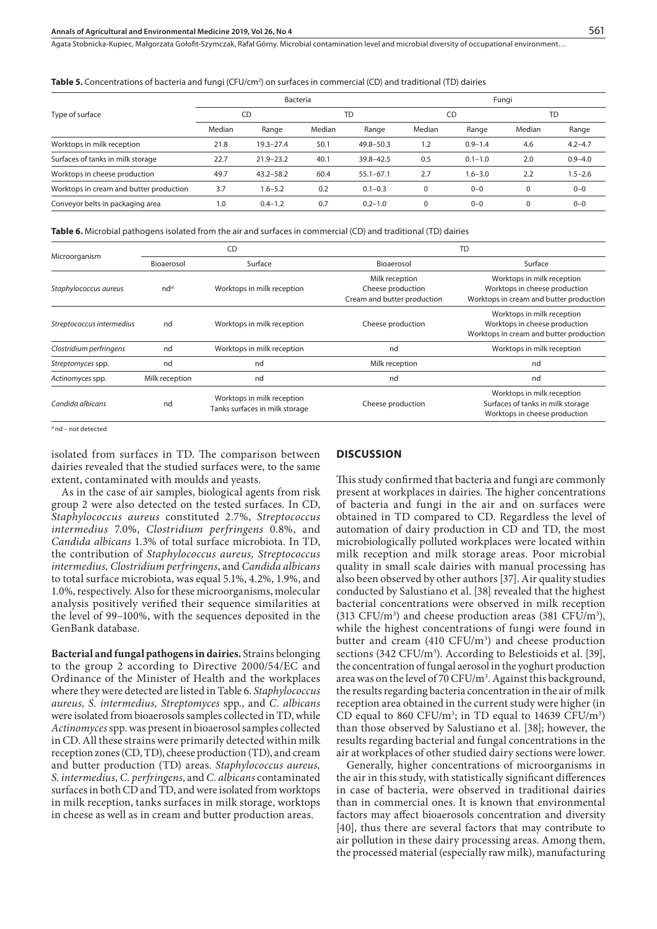| <b>Table 5.</b> Concentrations of bacteria and fungi (CFU/cm <sup>2</sup> ) on surfaces in commercial (CD) and traditional (TD) dairies |  |  |
|-----------------------------------------------------------------------------------------------------------------------------------------|--|--|
|-----------------------------------------------------------------------------------------------------------------------------------------|--|--|

|                                         | Bacteria |               |        |               |        | Fungi       |          |             |  |
|-----------------------------------------|----------|---------------|--------|---------------|--------|-------------|----------|-------------|--|
| Type of surface                         | CD       |               | TD     |               | CD     |             | TD       |             |  |
|                                         | Median   | Range         | Median | Range         | Median | Range       | Median   | Range       |  |
| Worktops in milk reception              | 21.8     | $19.3 - 27.4$ | 50.1   | $49.8 - 50.3$ | 1.2    | $0.9 - 1.4$ | 4.6      | $4.2 - 4.7$ |  |
| Surfaces of tanks in milk storage       | 22.7     | $21.9 - 23.2$ | 40.1   | $39.8 - 42.5$ | 0.5    | $0.1 - 1.0$ | 2.0      | $0.9 - 4.0$ |  |
| Worktops in cheese production           | 49.7     | $43.2 - 58.2$ | 60.4   | $55.1 - 67.1$ | 2.7    | $1.6 - 3.0$ | 2.2      | $1.5 - 2.6$ |  |
| Worktops in cream and butter production | 3.7      | $1.6 - 5.2$   | 0.2    | $0.1 - 0.3$   | O      | $0 - 0$     | $\Omega$ | $0 - 0$     |  |
| Conveyor belts in packaging area        | 1.0      | $0.4 - 1.2$   | 0.7    | $0.2 - 1.0$   | 0      | $0 - 0$     | $\Omega$ | $0 - 0$     |  |

**Table 6.** Microbial pathogens isolated from the air and surfaces in commercial (CD) and traditional (TD) dairies

|                           |                  | CD                                                           | <b>TD</b>                                                          |                                                                                                        |  |  |
|---------------------------|------------------|--------------------------------------------------------------|--------------------------------------------------------------------|--------------------------------------------------------------------------------------------------------|--|--|
| Microorganism             | Bioaerosol       | Surface                                                      | Bioaerosol                                                         | Surface                                                                                                |  |  |
| Staphylococcus aureus     | nd <sup>a)</sup> | Worktops in milk reception                                   | Milk reception<br>Cheese production<br>Cream and butter production | Worktops in milk reception<br>Worktops in cheese production<br>Worktops in cream and butter production |  |  |
| Streptococcus intermedius | nd               | Worktops in milk reception                                   | Cheese production                                                  | Worktops in milk reception<br>Worktops in cheese production<br>Worktops in cream and butter production |  |  |
| Clostridium perfringens   | nd               | Worktops in milk reception                                   | nd                                                                 | Worktops in milk reception                                                                             |  |  |
| Streptomyces spp.         | nd               | nd                                                           | Milk reception                                                     | nd                                                                                                     |  |  |
| Actinomyces spp.          | Milk reception   | nd                                                           | nd                                                                 | nd                                                                                                     |  |  |
| Candida albicans          | nd               | Worktops in milk reception<br>Tanks surfaces in milk storage | Cheese production                                                  | Worktops in milk reception<br>Surfaces of tanks in milk storage<br>Worktops in cheese production       |  |  |

a) nd – not detected

isolated from surfaces in TD. The comparison between dairies revealed that the studied surfaces were, to the same extent, contaminated with moulds and yeasts.

#### **DISCUSSION**

As in the case of air samples, biological agents from risk group 2 were also detected on the tested surfaces. In CD, *Staphylococcus aureus* constituted 2.7%, *Streptococcus intermedius* 7.0%, *Clostridium perfringens* 0.8%, and *Candida albicans* 1.3% of total surface microbiota. In TD, the contribution of *Staphylococcus aureus, Streptococcus intermedius, Clostridium perfringens*, and *Candida albicans*  to total surface microbiota, was equal 5.1%, 4.2%, 1.9%, and 1.0%, respectively. Also for these microorganisms, molecular analysis positively verified their sequence similarities at the level of 99–100%, with the sequences deposited in the GenBank database.

**Bacterial and fungal pathogens in dairies.** Strains belonging to the group 2 according to Directive 2000/54/EC and Ordinance of the Minister of Health and the workplaces where they were detected are listed in Table 6. *Staphylococcus aureus, S. intermedius, Streptomyces* spp*.*, and *C. albicans*  were isolated from bioaerosols samples collected in TD, while *Actinomyces* spp. was present in bioaerosol samples collected in CD. All these strains were primarily detected within milk reception zones (CD, TD), cheese production (TD), and cream and butter production (TD) areas. *Staphylococcus aureus, S. intermedius, C. perfringens*, and *C. albicans* contaminated surfaces in both CD and TD, and were isolated from worktops in milk reception, tanks surfaces in milk storage, worktops in cheese as well as in cream and butter production areas.

This study confirmed that bacteria and fungi are commonly present at workplaces in dairies. The higher concentrations of bacteria and fungi in the air and on surfaces were obtained in TD compared to CD. Regardless the level of automation of dairy production in CD and TD, the most microbiologically polluted workplaces were located within milk reception and milk storage areas. Poor microbial quality in small scale dairies with manual processing has also been observed by other authors [37]. Air quality studies conducted by Salustiano et al. [38] revealed that the highest bacterial concentrations were observed in milk reception  $(313 \text{ CFU/m}^3)$  and cheese production areas  $(381 \text{ CFU/m}^3)$ , while the highest concentrations of fungi were found in butter and cream  $(410 \text{ CFU/m}^3)$  and cheese production sections (342 CFU/m<sup>3</sup>). According to Belestioids et al. [39], the concentration of fungal aerosol in the yoghurt production area was on the level of 70 CFU/m<sup>3</sup>. Against this background, the results regarding bacteria concentration in the air of milk reception area obtained in the current study were higher (in CD equal to 860 CFU/m<sup>3</sup>; in TD equal to 14639 CFU/m<sup>3</sup>) than those observed by Salustiano et al. [38]; however, the results regarding bacterial and fungal concentrations in the air at workplaces of other studied dairy sections were lower.

Generally, higher concentrations of microorganisms in the air in this study, with statistically significant differences in case of bacteria, were observed in traditional dairies than in commercial ones. It is known that environmental factors may affect bioaerosols concentration and diversity [40], thus there are several factors that may contribute to air pollution in these dairy processing areas. Among them, the processed material (especially raw milk), manufacturing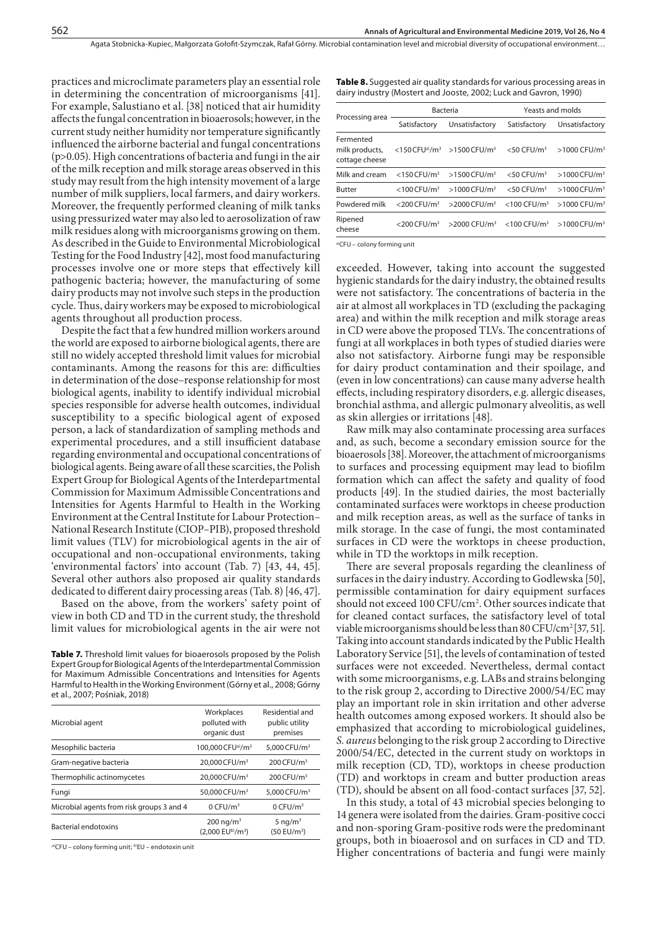practices and microclimate parameters play an essential role in determining the concentration of microorganisms [41]. For example, Salustiano et al. [38] noticed that air humidity affects the fungal concentration in bioaerosols; however, in the current study neither humidity nor temperature significantly influenced the airborne bacterial and fungal concentrations (p>0.05). High concentrations of bacteria and fungi in the air of the milk reception and milk storage areas observed in this study may result from the high intensity movement of a large number of milk suppliers, local farmers, and dairy workers. Moreover, the frequently performed cleaning of milk tanks using pressurized water may also led to aerosolization of raw milk residues along with microorganisms growing on them. As described in the Guide to Environmental Microbiological Testing for the Food Industry [42], most food manufacturing processes involve one or more steps that effectively kill pathogenic bacteria; however, the manufacturing of some dairy products may not involve such steps in the production cycle. Thus, dairy workers may be exposed to microbiological agents throughout all production process.

Despite the fact that a few hundred million workers around the world are exposed to airborne biological agents, there are still no widely accepted threshold limit values for microbial contaminants. Among the reasons for this are: difficulties in determination of the dose–response relationship for most biological agents, inability to identify individual microbial species responsible for adverse health outcomes, individual susceptibility to a specific biological agent of exposed person, a lack of standardization of sampling methods and experimental procedures, and a still insufficient database regarding environmental and occupational concentrations of biological agents. Being aware of all these scarcities, the Polish Expert Group for Biological Agents of the Interdepartmental Commission for Maximum Admissible Concentrations and Intensities for Agents Harmful to Health in the Working Environment at the Central Institute for Labour Protection– National Research Institute (CIOP–PIB), proposed threshold limit values (TLV) for microbiological agents in the air of occupational and non-occupational environments, taking 'environmental factors' into account (Tab. 7) [43, 44, 45]. Several other authors also proposed air quality standards dedicated to different dairy processing areas (Tab. 8) [46, 47].

Based on the above, from the workers' safety point of view in both CD and TD in the current study, the threshold limit values for microbiological agents in the air were not

Table 7. Threshold limit values for bioaerosols proposed by the Polish Expert Group for Biological Agents of the Interdepartmental Commission for Maximum Admissible Concentrations and Intensities for Agents Harmful to Health in the Working Environment (Górny et al., 2008; Górny et al., 2007; Pośniak, 2018)

| Microbial agent                           | Workplaces<br>polluted with<br>organic dust          | Residential and<br>public utility<br>premises |
|-------------------------------------------|------------------------------------------------------|-----------------------------------------------|
| Mesophilic bacteria                       | 100,000 CFUa)/m <sup>3</sup>                         | 5.000 CFU/m <sup>3</sup>                      |
| Gram-negative bacteria                    | 20,000 CFU/m <sup>3</sup>                            | $200$ CFU/m <sup>3</sup>                      |
| Thermophilic actinomycetes                | 20,000 CFU/m <sup>3</sup>                            | $200$ CFU/m <sup>3</sup>                      |
| Fungi                                     | 50,000 CFU/m <sup>3</sup>                            | 5.000 CFU/m <sup>3</sup>                      |
| Microbial agents from risk groups 3 and 4 | $0$ CFU/m <sup>3</sup>                               | 0 CFU/m <sup>3</sup>                          |
| <b>Bacterial endotoxins</b>               | $200 \text{ ng/m}^3$<br>(2.000 EUb)/m <sup>3</sup> ) | 5 ng/ $m3$<br>(50 EU/m <sup>3</sup> )         |

,a)CFU – colony forming unit; b)EU – endotoxin unit

**Table 8.** Suggested air quality standards for various processing areas in dairy industry (Mostert and Jooste, 2002; Luck and Gavron, 1990)

| Processing area                               |                            | Bacteria                                               | Yeasts and molds           |                            |  |
|-----------------------------------------------|----------------------------|--------------------------------------------------------|----------------------------|----------------------------|--|
|                                               | Satisfactory               | Unsatisfactory                                         | Satisfactory               | Unsatisfactory             |  |
| Fermented<br>milk products,<br>cottage cheese |                            | $<$ 150 CFUa)/m <sup>3</sup> > 1500 CFU/m <sup>3</sup> | $<$ 50 CFU/m <sup>3</sup>  | $>1000$ CFU/m <sup>3</sup> |  |
| Milk and cream                                | $<$ 150 CFU/m <sup>3</sup> | $>1500$ CFU/m <sup>3</sup>                             | $<$ 50 CFU/m <sup>3</sup>  | >1000 CFU/m <sup>3</sup>   |  |
| <b>Butter</b>                                 | $<$ 100 CFU/m <sup>3</sup> | $>1000$ CFU/m <sup>3</sup>                             | $<$ 50 CFU/m <sup>3</sup>  | >1000 CFU/m <sup>3</sup>   |  |
| Powdered milk                                 | $<$ 200 CFU/m <sup>3</sup> | $>$ 2000 CFU/m <sup>3</sup>                            | $<$ 100 CFU/m <sup>3</sup> | $>1000$ CFU/m <sup>3</sup> |  |
| Ripened<br>cheese                             | $<$ 200 CFU/m <sup>3</sup> | $>$ 2000 CFU/m <sup>3</sup>                            | $<$ 100 CFU/m <sup>3</sup> | >1000 CFU/m <sup>3</sup>   |  |
|                                               |                            |                                                        |                            |                            |  |

a)CFU – colony forming unit

exceeded. However, taking into account the suggested hygienic standards for the dairy industry, the obtained results were not satisfactory. The concentrations of bacteria in the air at almost all workplaces in TD (excluding the packaging area) and within the milk reception and milk storage areas in CD were above the proposed TLVs. The concentrations of fungi at all workplaces in both types of studied diaries were also not satisfactory. Airborne fungi may be responsible for dairy product contamination and their spoilage, and (even in low concentrations) can cause many adverse health effects, including respiratory disorders, e.g. allergic diseases, bronchial asthma, and allergic pulmonary alveolitis, as well as skin allergies or irritations [48].

Raw milk may also contaminate processing area surfaces and, as such, become a secondary emission source for the bioaerosols [38]. Moreover, the attachment of microorganisms to surfaces and processing equipment may lead to biofilm formation which can affect the safety and quality of food products [49]. In the studied dairies, the most bacterially contaminated surfaces were worktops in cheese production and milk reception areas, as well as the surface of tanks in milk storage. In the case of fungi, the most contaminated surfaces in CD were the worktops in cheese production, while in TD the worktops in milk reception.

There are several proposals regarding the cleanliness of surfaces in the dairy industry. According to Godlewska [50], permissible contamination for dairy equipment surfaces should not exceed 100 CFU/cm<sup>2</sup>. Other sources indicate that for cleaned contact surfaces, the satisfactory level of total viable microorganisms should be less than 80 CFU/cm<sup>2</sup>[37, 51]. Taking into account standards indicated by the Public Health Laboratory Service [51], the levels of contamination of tested surfaces were not exceeded. Nevertheless, dermal contact with some microorganisms, e.g. LABs and strains belonging to the risk group 2, according to Directive 2000/54/EC may play an important role in skin irritation and other adverse health outcomes among exposed workers. It should also be emphasized that according to microbiological guidelines, *S. aureus* belonging to the risk group 2 according to Directive 2000/54/EC, detected in the current study on worktops in milk reception (CD, TD), worktops in cheese production (TD) and worktops in cream and butter production areas (TD), should be absent on all food-contact surfaces [37, 52].

In this study, a total of 43 microbial species belonging to 14 genera were isolated from the dairies. Gram-positive cocci and non-sporing Gram-positive rods were the predominant groups, both in bioaerosol and on surfaces in CD and TD. Higher concentrations of bacteria and fungi were mainly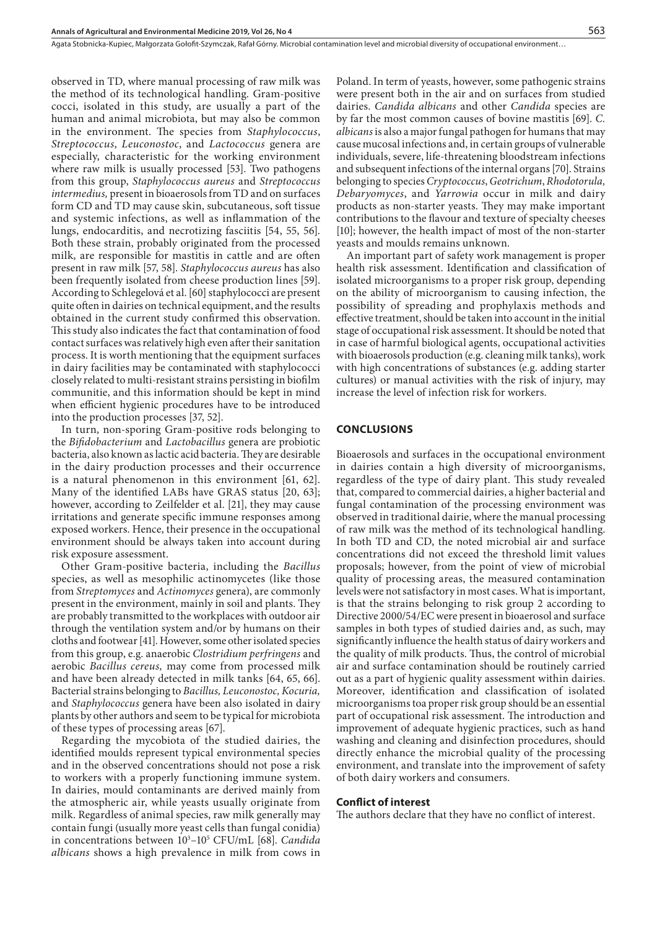observed in TD, where manual processing of raw milk was the method of its technological handling. Gram-positive cocci, isolated in this study, are usually a part of the human and animal microbiota, but may also be common in the environment. The species from *Staphylococcus*, *Streptococcus*, *Leuconostoc*, and *Lactococcus* genera are especially, characteristic for the working environment where raw milk is usually processed [53]. Two pathogens from this group, *Staphylococcus aureus* and *Streptococcus intermedius,* present in bioaerosols from TD and on surfaces form CD and TD may cause skin, subcutaneous, soft tissue and systemic infections, as well as inflammation of the lungs, endocarditis, and necrotizing fasciitis [54, 55, 56]. Both these strain, probably originated from the processed milk, are responsible for mastitis in cattle and are often present in raw milk [57, 58]. *Staphylococcus aureus* has also been frequently isolated from cheese production lines [59]. According to Schlegelová et al. [60] staphylococci are present quite often in dairies on technical equipment, and the results obtained in the current study confirmed this observation. This study also indicates the fact that contamination of food contact surfaces was relatively high even after their sanitation process. It is worth mentioning that the equipment surfaces in dairy facilities may be contaminated with staphylococci closely related to multi-resistant strains persisting in biofilm communitie, and this information should be kept in mind when efficient hygienic procedures have to be introduced into the production processes [37, 52].

In turn, non-sporing Gram-positive rods belonging to the *Bifidobacterium* and *Lactobacillus* genera are probiotic bacteria, also known as lactic acid bacteria. They are desirable in the dairy production processes and their occurrence is a natural phenomenon in this environment [61, 62]. Many of the identified LABs have GRAS status [20, 63]; however, according to Zeilfelder et al. [21], they may cause irritations and generate specific immune responses among exposed workers. Hence, their presence in the occupational environment should be always taken into account during risk exposure assessment.

Other Gram-positive bacteria, including the *Bacillus* species, as well as mesophilic actinomycetes (like those from *Streptomyces* and *Actinomyces* genera), are commonly present in the environment, mainly in soil and plants. They are probably transmitted to the workplaces with outdoor air through the ventilation system and/or by humans on their cloths and footwear [41]. However, some other isolated species from this group, e.g. anaerobic *Clostridium perfringens* and aerobic *Bacillus cereus,* may come from processed milk and have been already detected in milk tanks [64, 65, 66]. Bacterial strains belonging to *Bacillus, Leuconostoc, Kocuria,*  and *Staphylococcus* genera have been also isolated in dairy plants by other authors and seem to be typical for microbiota of these types of processing areas [67].

Regarding the mycobiota of the studied dairies, the identified moulds represent typical environmental species and in the observed concentrations should not pose a risk to workers with a properly functioning immune system. In dairies, mould contaminants are derived mainly from the atmospheric air, while yeasts usually originate from milk. Regardless of animal species, raw milk generally may contain fungi (usually more yeast cells than fungal conidia) in concentrations between  $10^3$ – $10^5$  CFU/mL [68]. *Candida albicans* shows a high prevalence in milk from cows in

Poland. In term of yeasts, however, some pathogenic strains were present both in the air and on surfaces from studied dairies. *Candida albicans* and other *Candida* species are by far the most common causes of bovine mastitis [69]. *C. albicans* is also a major fungal pathogen for humans that may cause mucosal infections and, in certain groups of vulnerable individuals, severe, life-threatening bloodstream infections and subsequent infections of the internal organs [70]. Strains belonging to species *Cryptococcus*, *Geotrichum*, *Rhodotorula, Debaryomyces*, and *Yarrowia* occur in milk and dairy products as non-starter yeasts. They may make important contributions to the flavour and texture of specialty cheeses [10]; however, the health impact of most of the non-starter yeasts and moulds remains unknown.

An important part of safety work management is proper health risk assessment. Identification and classification of isolated microorganisms to a proper risk group, depending on the ability of microorganism to causing infection, the possibility of spreading and prophylaxis methods and effective treatment, should be taken into account in the initial stage of occupational risk assessment. It should be noted that in case of harmful biological agents, occupational activities with bioaerosols production (e.g. cleaning milk tanks), work with high concentrations of substances (e.g. adding starter cultures) or manual activities with the risk of injury, may increase the level of infection risk for workers.

## **CONCLUSIONS**

Bioaerosols and surfaces in the occupational environment in dairies contain a high diversity of microorganisms, regardless of the type of dairy plant. This study revealed that, compared to commercial dairies, a higher bacterial and fungal contamination of the processing environment was observed in traditional dairie, where the manual processing of raw milk was the method of its technological handling. In both TD and CD, the noted microbial air and surface concentrations did not exceed the threshold limit values proposals; however, from the point of view of microbial quality of processing areas, the measured contamination levels were not satisfactory in most cases. What is important, is that the strains belonging to risk group 2 according to Directive 2000/54/EC were present in bioaerosol and surface samples in both types of studied dairies and, as such, may significantly influence the health status of dairy workers and the quality of milk products. Thus, the control of microbial air and surface contamination should be routinely carried out as a part of hygienic quality assessment within dairies. Moreover, identification and classification of isolated microorganisms toa proper risk group should be an essential part of occupational risk assessment. The introduction and improvement of adequate hygienic practices, such as hand washing and cleaning and disinfection procedures, should directly enhance the microbial quality of the processing environment, and translate into the improvement of safety of both dairy workers and consumers.

#### **Conflict of interest**

The authors declare that they have no conflict of interest.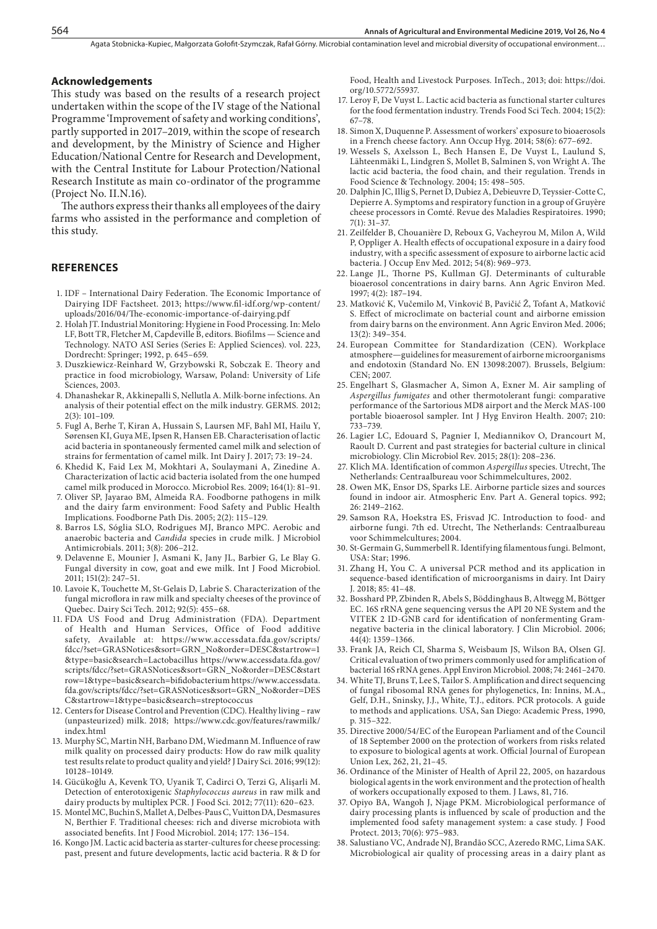#### **Acknowledgements**

This study was based on the results of a research project undertaken within the scope of the IV stage of the National Programme 'Improvement of safety and working conditions', partly supported in 2017–2019, within the scope of research and development, by the Ministry of Science and Higher Education/National Centre for Research and Development, with the Central Institute for Labour Protection/National Research Institute as main co-ordinator of the programme (Project No. II.N.16).

The authors express their thanks all employees of the dairy farms who assisted in the performance and completion of this study.

#### **REFERENCES**

- 1. IDF International Dairy Federation. The Economic Importance of Dairying IDF Factsheet. 2013; [https://www.fil-idf.org/wp-content/](https://www.fil-idf.org/wp-content/uploads/2016/04/The-economic-importance-of-dairying.pdf) [uploads/2016/04/The-economic-importance-of-dairying.pdf](https://www.fil-idf.org/wp-content/uploads/2016/04/The-economic-importance-of-dairying.pdf)
- 2. Holah JT. Industrial Monitoring: Hygiene in Food Processing. In: Melo LF, Bott TR, Fletcher M, Capdeville B, editors. Biofilms — Science and Technology. NATO ASI Series (Series E: Applied Sciences). vol. 223, Dordrecht: Springer; 1992, p. 645–659.
- 3. Duszkiewicz-Reinhard W, Grzybowski R, Sobczak E. Theory and practice in food microbiology, Warsaw, Poland: University of Life Sciences, 2003.
- 4. Dhanashekar R, Akkinepalli S, Nellutla A. Milk-borne infections. An analysis of their potential effect on the milk industry. GERMS*.* 2012; 2(3): 101–109.
- 5. Fugl A, Berhe T, Kiran A, Hussain S, Laursen MF, Bahl MI, Hailu Y, Sørensen KI, Guya ME, Ipsen R, Hansen EB. Characterisation of lactic acid bacteria in spontaneously fermented camel milk and selection of strains for fermentation of camel milk. Int Dairy J. 2017; 73: 19–24.
- 6. Khedid K, Faid Lex M, Mokhtari A, Soulaymani A, Zinedine A. Characterization of lactic acid bacteria isolated from the one humped camel milk produced in Morocco. Microbiol Res*.* 2009; 164(1): 81–91.
- 7. Oliver SP, Jayarao BM, Almeida RA. Foodborne pathogens in milk and the dairy farm environment: Food Safety and Public Health Implications. Foodborne Path Dis. 2005; 2(2): 115–129.
- 8. Barros LS, Sóglia SLO, Rodrigues MJ, Branco MPC. Aerobic and anaerobic bacteria and *Candida* species in crude milk. J Microbiol Antimicrobials. 2011; 3(8): 206–212.
- 9. [Delavenne E,](https://www.ncbi.nlm.nih.gov/pubmed/?term=Delavenne E%5BAuthor%5D&cauthor=true&cauthor_uid=21944758) [Mounier J](https://www.ncbi.nlm.nih.gov/pubmed/?term=Mounier J%5BAuthor%5D&cauthor=true&cauthor_uid=21944758), [Asmani K](https://www.ncbi.nlm.nih.gov/pubmed/?term=Asmani K%5BAuthor%5D&cauthor=true&cauthor_uid=21944758), [Jany JL](https://www.ncbi.nlm.nih.gov/pubmed/?term=Jany JL%5BAuthor%5D&cauthor=true&cauthor_uid=21944758), [Barbier G,](https://www.ncbi.nlm.nih.gov/pubmed/?term=Barbier G%5BAuthor%5D&cauthor=true&cauthor_uid=21944758) [Le Blay G.](https://www.ncbi.nlm.nih.gov/pubmed/?term=Le Blay G%5BAuthor%5D&cauthor=true&cauthor_uid=21944758) Fungal diversity in cow, goat and ewe milk. [Int J Food Microbiol.](https://www.ncbi.nlm.nih.gov/pubmed/21944758) 2011; 151(2): 247–51.
- 10. Lavoie K, Touchette M, St-Gelais D, Labrie S. Characterization of the fungal microflora in raw milk and specialty cheeses of the province of Quebec. Dairy Sci Tech. 2012; 92(5): 455–68.
- 11. FDA US Food and Drug Administration (FDA). Department of Health and Human Services, Office of Food additive safety, Available at: [https://www.accessdata.fda.gov/scripts/](https://www.accessdata.fda.gov/scripts/fdcc/?set=GRASNotices&sort=GRN_No&order=DESC&startrow=1&type=basic&search=Lactobacillus) [fdcc/?set=GRASNotices&sort=GRN\\_No&order=DESC&startrow=1](https://www.accessdata.fda.gov/scripts/fdcc/?set=GRASNotices&sort=GRN_No&order=DESC&startrow=1&type=basic&search=Lactobacillus) [&type=basic&search=Lactobacillus](https://www.accessdata.fda.gov/scripts/fdcc/?set=GRASNotices&sort=GRN_No&order=DESC&startrow=1&type=basic&search=Lactobacillus) [https://www.accessdata.fda.gov/](https://www.accessdata.fda.gov/scripts/fdcc/?set=GRASNotices&sort=GRN_No&order=DESC&startrow=1&type=basic&search=bifidobacterium) [scripts/fdcc/?set=GRASNotices&sort=GRN\\_No&order=DESC&start](https://www.accessdata.fda.gov/scripts/fdcc/?set=GRASNotices&sort=GRN_No&order=DESC&startrow=1&type=basic&search=bifidobacterium) [row=1&type=basic&search=bifidobacterium](https://www.accessdata.fda.gov/scripts/fdcc/?set=GRASNotices&sort=GRN_No&order=DESC&startrow=1&type=basic&search=bifidobacterium) [https://www.accessdata.](https://www.accessdata.fda.gov/scripts/fdcc/?set=GRASNotices&sort=GRN_No&order=DESC&startrow=1&type=basic&search=streptococcus) [fda.gov/scripts/fdcc/?set=GRASNotices&sort=GRN\\_No&order=DES](https://www.accessdata.fda.gov/scripts/fdcc/?set=GRASNotices&sort=GRN_No&order=DESC&startrow=1&type=basic&search=streptococcus) [C&startrow=1&type=basic&search=streptococcus](https://www.accessdata.fda.gov/scripts/fdcc/?set=GRASNotices&sort=GRN_No&order=DESC&startrow=1&type=basic&search=streptococcus)
- 12. Centers for Disease Control and Prevention (CDC). Healthy living raw (unpasteurized) milk. 2018; [https://www.cdc.gov/features/rawmilk/](https://www.cdc.gov/features/rawmilk/index.html) [index.html](https://www.cdc.gov/features/rawmilk/index.html)
- 13. Murphy SC, Martin NH, Barbano DM, Wiedmann M. Influence of raw milk quality on processed dairy products: How do raw milk quality test results relate to product quality and yield? J Dairy Sci. 2016; 99(12): 10128–10149.
- 14. [Gücükoğlu A,](https://www.ncbi.nlm.nih.gov/pubmed/?term=G%C3%BCc%C3%BCko%C4%9Flu A%5BAuthor%5D&cauthor=true&cauthor_uid=23127160) [Kevenk TO,](https://www.ncbi.nlm.nih.gov/pubmed/?term=Kevenk TO%5BAuthor%5D&cauthor=true&cauthor_uid=23127160) [Uyanik T,](https://www.ncbi.nlm.nih.gov/pubmed/?term=Uyanik T%5BAuthor%5D&cauthor=true&cauthor_uid=23127160) [Cadirci O](https://www.ncbi.nlm.nih.gov/pubmed/?term=Cadirci O%5BAuthor%5D&cauthor=true&cauthor_uid=23127160), [Terzi G,](https://www.ncbi.nlm.nih.gov/pubmed/?term=Terzi G%5BAuthor%5D&cauthor=true&cauthor_uid=23127160) Alişarli M. Detection of enterotoxigenic *Staphylococcus aureus* in raw milk and dairy products by multiplex PCR. [J Food Sci](https://www.ncbi.nlm.nih.gov/pubmed/23127160)*.* 2012; 77(11): 620–623.
- 15. Montel MC, Buchin S, Mallet A, Delbes-Paus C, Vuitton DA, Desmasures N, Berthier F. Traditional cheeses: rich and diverse microbiota with associated benefits. Int J Food Microbiol. 2014; 177: 136–154.
- 16. Kongo JM. Lactic acid bacteria as starter-cultures for cheese processing: past, present and future developments, lactic acid bacteria. R & D for

Food, Health and Livestock Purposes*.* InTech., 2013; doi: https://doi. org/10.5772/55937.

- 17. Leroy F, De Vuyst L. Lactic acid bacteria as functional starter cultures for the food fermentation industry. Trends Food Sci Tech*.* 2004; 15(2): 67–78.
- 18. Simon X, Duquenne P. Assessment of workers' exposure to bioaerosols in a French cheese factory. Ann Occup Hyg. 2014; 58(6): 677–692.
- 19. Wessels S, Axelsson L, Bech Hansen E, De Vuyst L, Laulund S, Lähteenmäki L, Lindgren S, Mollet B, Salminen S, von Wright A. The lactic acid bacteria, the food chain, and their regulation. Trends in Food Science & Technology. 2004; 15: 498–505.
- 20. [Dalphin JC](https://www.ncbi.nlm.nih.gov/pubmed/?term=Dalphin JC%5BAuthor%5D&cauthor=true&cauthor_uid=2251432), [Illig S,](https://www.ncbi.nlm.nih.gov/pubmed/?term=Illig S%5BAuthor%5D&cauthor=true&cauthor_uid=2251432) [Pernet D](https://www.ncbi.nlm.nih.gov/pubmed/?term=Pernet D%5BAuthor%5D&cauthor=true&cauthor_uid=2251432), [Dubiez A,](https://www.ncbi.nlm.nih.gov/pubmed/?term=Dubiez A%5BAuthor%5D&cauthor=true&cauthor_uid=2251432) [Debieuvre D,](https://www.ncbi.nlm.nih.gov/pubmed/?term=Debieuvre D%5BAuthor%5D&cauthor=true&cauthor_uid=2251432) [Teyssier-Cotte C,](https://www.ncbi.nlm.nih.gov/pubmed/?term=Teyssier-Cotte C%5BAuthor%5D&cauthor=true&cauthor_uid=2251432) [Depierre A.](https://www.ncbi.nlm.nih.gov/pubmed/?term=Depierre A%5BAuthor%5D&cauthor=true&cauthor_uid=2251432) Symptoms and respiratory function in a group of Gruyère cheese processors in Comté. [Revue des Maladies Respiratoires.](https://www.ncbi.nlm.nih.gov/pubmed/2251432) 1990; 7(1): 31–37.
- 21. [Zeilfelder B](https://www.ncbi.nlm.nih.gov/m/pubmed/?term=Zeilfelder B%5BAuthor%5D&sort=ac&from=/22776805/ac), [Chouanière D](https://www.ncbi.nlm.nih.gov/m/pubmed/?term=Chouani%C3%A8re D%5BAuthor%5D&sort=ac&from=/22776805/ac), [Reboux G](https://www.ncbi.nlm.nih.gov/m/pubmed/?term=Reboux G%5BAuthor%5D&sort=ac&from=/22776805/ac), [Vacheyrou M,](https://www.ncbi.nlm.nih.gov/m/pubmed/?term=Vacheyrou M%5BAuthor%5D&sort=ac&from=/22776805/ac) [Milon A](https://www.ncbi.nlm.nih.gov/m/pubmed/?term=Milon A%5BAuthor%5D&sort=ac&from=/22776805/ac), [Wild](https://www.ncbi.nlm.nih.gov/m/pubmed/?term=Wild P%5BAuthor%5D&sort=ac&from=/22776805/ac)  [P,](https://www.ncbi.nlm.nih.gov/m/pubmed/?term=Wild P%5BAuthor%5D&sort=ac&from=/22776805/ac) [Oppliger A.](https://www.ncbi.nlm.nih.gov/m/pubmed/?term=Oppliger A%5BAuthor%5D&sort=ac&from=/22776805/ac) Health effects of occupational exposure in a dairy food industry, with a specific assessment of exposure to airborne lactic acid bacteria. J Occup Env Med. 2012; 54(8): 969–973.
- 22. Lange JL, Thorne PS, Kullman GJ. Determinants of culturable bioaerosol concentrations in dairy barns. Ann Agric Environ Med. 1997; 4(2): 187–194.
- 23. Matković K, Vučemilo M, Vinković B, Pavičić Ž, Tofant A, Matković S. Effect of microclimate on bacterial count and airborne emission from dairy barns on the environment. Ann Agric Environ Med. 2006; 13(2): 349–354.
- 24. European Committee for Standardization (CEN). Workplace atmosphere—guidelines for measurement of airborne microorganisms and endotoxin (Standard No. EN 13098:2007). Brussels, Belgium: CEN; 2007.
- 25. Engelhart S, Glasmacher A, Simon A, Exner M. Air sampling of *Aspergillus fumigates* and other thermotolerant fungi: comparative performance of the Sartorious MD8 airport and the Merck MAS-100 portable bioaerosol sampler. Int J Hyg Environ Health. 2007; 210: 733–739.
- 26. Lagier LC, Edouard S, Pagnier I, Mediannikov O, Drancourt M, Raoult D. Current and past strategies for bacterial culture in clinical microbiology. Clin Microbiol Rev. 2015; 28(1): 208–236.
- 27. Klich MA. Identification of common *Aspergillus* species. Utrecht, The Netherlands: Centraalbureau voor Schimmelcultures, 2002.
- 28. Owen MK, Ensor DS, Sparks LE. Airborne particle sizes and sources found in indoor air. Atmospheric Env. Part A. General topics. 992; 26: 2149–2162.
- 29. Samson RA, Hoekstra ES, Frisvad JC. Introduction to food- and airborne fungi. 7th ed. Utrecht, The Netherlands: Centraalbureau voor Schimmelcultures; 2004.
- 30. St-Germain G, Summerbell R. Identifying filamentous fungi. Belmont, USA: Star; 1996.
- 31. Zhang H, You C. A universal PCR method and its application in sequence-based identification of microorganisms in dairy. Int Dairy J*.* 2018; 85: 41–48.
- 32. Bosshard PP, Zbinden R, Abels S, Böddinghaus B, Altwegg M, Böttger EC. 16S rRNA gene sequencing versus the API 20 NE System and the VITEK 2 ID-GNB card for identification of nonfermenting Gramnegative bacteria in the clinical laboratory. J Clin Microbiol. 2006; 44(4): 1359–1366.
- 33. Frank JA, Reich CI, Sharma S, Weisbaum JS, Wilson BA, Olsen GJ. Critical evaluation of two primers commonly used for amplification of bacterial 16S rRNA genes. Appl Environ Microbiol*.* 2008; 74: 2461–2470.
- 34. White TJ, Bruns T, Lee S, Tailor S. Amplification and direct sequencing of fungal ribosomal RNA genes for phylogenetics, In: Innins, M.A., Gelf, D.H., Sninsky, J.J., White, T.J., editors. PCR protocols. A guide to methods and applications. USA, San Diego: Academic Press, 1990, p. 315–322.
- 35. Directive 2000/54/EC of the European Parliament and of the Council of 18 September 2000 on the protection of workers from risks related to exposure to biological agents at work. Official Journal of European Union Lex, 262, 21, 21–45.
- 36. Ordinance of the Minister of Health of April 22, 2005, on hazardous biological agents in the work environment and the protection of health of workers occupationally exposed to them. J Laws, 81, 716.
- 37. Opiyo BA, Wangoh J, Njage PKM. Microbiological performance of dairy processing plants is influenced by scale of production and the implemented food safety management system: a case study. J Food Protect. 2013; 70(6): 975–983.
- 38. Salustiano VC, Andrade NJ, Brandão SCC, Azeredo RMC, Lima SAK. Microbiological air quality of processing areas in a dairy plant as